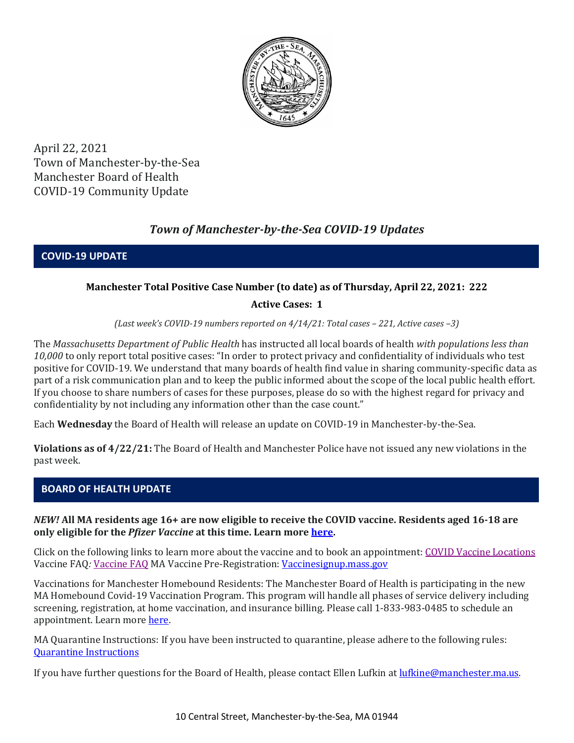

April 22, 2021 Town of Manchester-by-the-Sea Manchester Board of Health COVID-19 Community Update

## *Town of Manchester-by-the-Sea COVID-19 Updates*

**COVID-19 UPDATE**

## **Manchester Total Positive Case Number (to date) as of Thursday, April 22, 2021: 222**

## **Active Cases: 1**

*(Last week's COVID-19 numbers reported on 4/14/21: Total cases – 221, Active cases –3)*

The *Massachusetts Department of Public Health* has instructed all local boards of health *with populations less than 10,000* to only report total positive cases: "In order to protect privacy and confidentiality of individuals who test positive for COVID-19. We understand that many boards of health find value in sharing community-specific data as part of a risk communication plan and to keep the public informed about the scope of the local public health effort. If you choose to share numbers of cases for these purposes, please do so with the highest regard for privacy and confidentiality by not including any information other than the case count."

Each **Wednesday** the Board of Health will release an update on COVID-19 in Manchester-by-the-Sea.

**Violations as of 4/22/21:** The Board of Health and Manchester Police have not issued any new violations in the past week.

## **BOARD OF HEALTH UPDATE**

*NEW!* **All MA residents age 16+ are now eligible to receive the COVID vaccine. Residents aged 16-18 are only eligible for the** *Pfizer Vaccine* **at this time. Learn more [here.](https://www.mass.gov/info-details/covid-19-vaccinations-for-people-under-age-18)** 

Click on the following links to learn more about the vaccine and to book an appointment: [COVID Vaccine Locations](https://www.mass.gov/info-details/covid-19-vaccination-locations) Vaccine FAQ*:* [Vaccine FAQ](https://www.mass.gov/doc/covid-19-vaccine-frequently-asked-questions/download) [MA Vaccine Pre-Registration:](https://www.mass.gov/info-details/covid-19-vaccination-locations) [Vaccinesignup.mass.gov](https://vaccinesignup.mass.gov/#/)

Vaccinations for Manchester Homebound Residents: The Manchester Board of Health is participating in the new MA Homebound Covid-19 Vaccination Program. This program will handle all phases of service delivery including screening, registration, at home vaccination, and insurance billing. Please call 1-833-983-0485 to schedule an appointment. Learn mor[e here.](http://manchester.ma.us/337/Board-of-Health)

MA Quarantine Instructions: If you have been instructed to quarantine, please adhere to the following rules: [Quarantine Instructions](http://manchester.ma.us/DocumentCenter/View/3558/14-10-7-day-COVID19_Quarantine-information-1272020)

If you have further questions for the Board of Health, please contact Ellen Lufkin at [lufkine@manchester.ma.us.](mailto:lufkine@manchester.ma.us)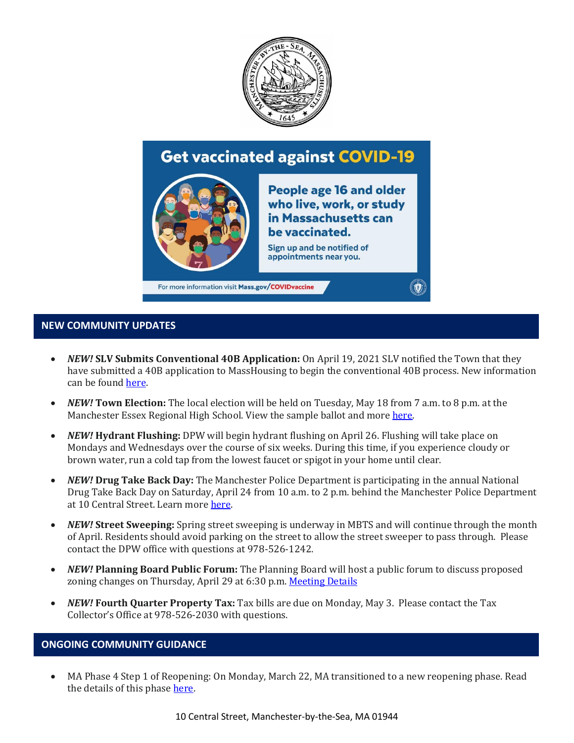

# **Get vaccinated against COVID-19**



**People age 16 and older** who live, work, or study in Massachusetts can be vaccinated.

Sign up and be notified of appointments near you.

For more information visit Mass.gov/COVIDvaccine

#### **NEW COMMUNITY UPDATES**

- *NEW!* **SLV Submits Conventional 40B Application:** On April 19, 2021 SLV notified the Town that they have submitted a 40B application to MassHousing to begin the conventional 40B process. New information can be foun[d here.](http://manchester.ma.us/729/40B)
- *NEW!* **Town Election:** The local election will be held on Tuesday, May 18 from 7 a.m. to 8 p.m. at the Manchester Essex Regional High School. View the sample ballot and mor[e here.](http://manchester.ma.us/503/Town-Meetings-and-Elections)
- *NEW!* **Hydrant Flushing:** DPW will begin hydrant flushing on April 26. Flushing will take place on Mondays and Wednesdays over the course of six weeks. During this time, if you experience cloudy or brown water, run a cold tap from the lowest faucet or spigot in your home until clear.
- *NEW!* **Drug Take Back Day:** The Manchester Police Department is participating in the annual National Drug Take Back Day on Saturday, April 24 from 10 a.m. to 2 p.m. behind the Manchester Police Department at 10 Central Street. Learn more [here.](https://manchestermapd.com/about/pressreleases/)
- *NEW!* **Street Sweeping:** Spring street sweeping is underway in MBTS and will continue through the month of April. Residents should avoid parking on the street to allow the street sweeper to pass through. Please contact the DPW office with questions at 978-526-1242.
- *NEW!* **Planning Board Public Forum:** The Planning Board will host a public forum to discuss proposed zoning changes on Thursday, April 29 at 6:30 p.m[. Meeting Details](http://manchester.ma.us/Calendar.aspx?EID=1860)
- *NEW!* **Fourth Quarter Property Tax:** Tax bills are due on Monday, May 3. Please contact the Tax Collector's Office at 978-526-2030 with questions.

#### **ONGOING COMMUNITY GUIDANCE**

• MA Phase 4 Step 1 of Reopening: On Monday, March 22, MA transitioned to a new reopening phase. Read the details of this phase [here.](https://www.mass.gov/news/baker-polito-administration-announces-transition-to-phase-iv-of-reopening-plan)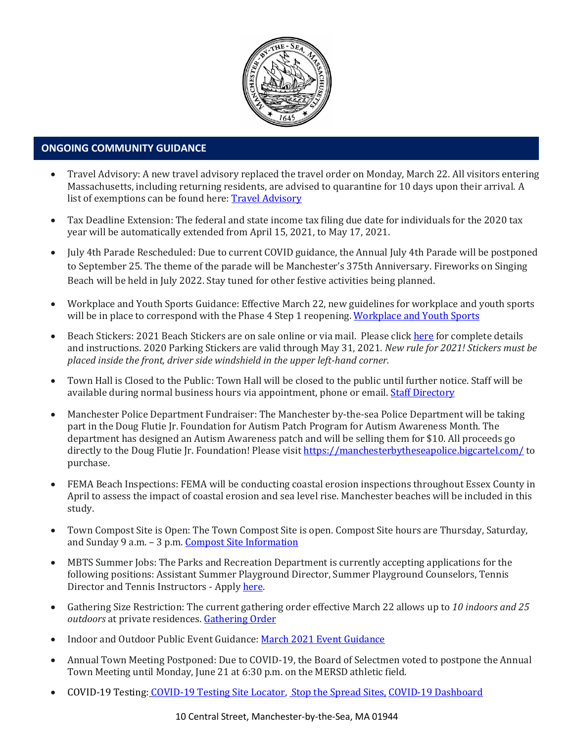

### • **ONGOING COMMUNITY GUIDANCE**

- Travel Advisory: A new travel advisory replaced the travel order on Monday, March 22. All visitors entering Massachusetts, including returning residents, are advised to quarantine for 10 days upon their arrival. A list of exemptions can be found here: [Travel Advisory](https://www.mass.gov/info-details/covid-19-travel-advisory)
- Tax Deadline Extension: The federal and state income tax filing due date for individuals for the 2020 tax year will be automatically extended from April 15, 2021, to May 17, 2021.
- July 4th Parade Rescheduled: Due to current COVID guidance, the Annual July 4th Parade will be postponed to September 25. The theme of the parade will be Manchester's 375th Anniversary. Fireworks on Singing Beach will be held in July 2022. Stay tuned for other festive activities being planned.
- Workplace and Youth Sports Guidance: Effective March 22, new guidelines for workplace and youth sports will be in place to correspond with the Phase 4 Step 1 reopening[. Workplace and Youth Sports](https://www.mass.gov/doc/safety-standards-for-youth-and-adult-amateur-sports-activities-phase-iv-step-1-effective-32221/download)
- Beach Stickers: 2021 Beach Stickers are on sale online or via mail. Please clic[k here](http://manchester.ma.us/252/Beach-Resident-Parking-Stickers) for complete details and instructions. 2020 Parking Stickers are valid through May 31, 2021. *New rule for 2021! Stickers must be placed inside the front, driver side windshield in the upper left-hand corner.*
- Town Hall is Closed to the Public: Town Hall will be closed to the public until further notice. Staff will be available during normal business hours via appointment, phone or email. [Staff Directory](http://manchester.ma.us/directory.aspx)
- Manchester Police Department Fundraiser: The Manchester by-the-sea Police Department will be taking part in the Doug Flutie Jr. Foundation for Autism Patch Program for Autism Awareness Month. The department has designed an Autism Awareness patch and will be selling them for \$10. All proceeds go directly to the Doug Flutie Jr. Foundation! Please visit<https://manchesterbytheseapolice.bigcartel.com/> to purchase.
- FEMA Beach Inspections: FEMA will be conducting coastal erosion inspections throughout Essex County in April to assess the impact of coastal erosion and sea level rise. Manchester beaches will be included in this study.
- Town Compost Site is Open: The Town Compost Site is open. Compost Site hours are Thursday, Saturday, and Sunday 9 a.m. – 3 p.m. [Compost Site Information](https://www.manchester.ma.us/413/Yard-Compost-Site)
- MBTS Summer Jobs: The Parks and Recreation Department is currently accepting applications for the following positions: Assistant Summer Playground Director, Summer Playground Counselors, Tennis Director and Tennis Instructors - Apply here.
- Gathering Size Restriction: The current gathering order effective March 22 allows up to *10 indoors and 25 outdoors* at private residences. [Gathering Order](https://www.manchester.ma.us/DocumentCenter/View/3746/Signed-Appendix-for-Gatherings-Order-31821)
- Indoor and Outdoor Public Event Guidance[: March 2021 Event Guidance](https://www.manchester.ma.us/DocumentCenter/View/3736/Final_Indoor-and-Outdoor-Events-Guidance-31121)
- Annual Town Meeting Postponed: Due to COVID-19, the Board of Selectmen voted to postpone the Annual Town Meeting until Monday, June 21 at 6:30 p.m. on the MERSD athletic field.
- COVID-19 Testing: [COVID-19 Testing Site Locator,](https://memamaps.maps.arcgis.com/apps/webappviewer/index.html?id=eba3f0395451430b9f631cb095febf13) [Stop the Spread Sites,](https://www.mass.gov/info-details/stop-the-spread) [COVID-19 Dashboard](https://www.mass.gov/info-details/covid-19-response-reporting#covid-19-interactive-data-dashboard-)